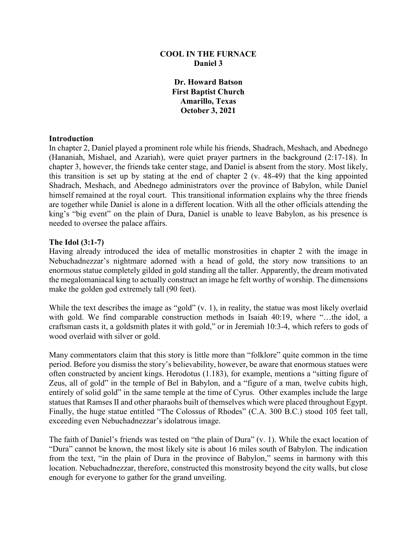# **COOL IN THE FURNACE Daniel 3**

**Dr. Howard Batson First Baptist Church Amarillo, Texas October 3, 2021**

#### **Introduction**

In chapter 2, Daniel played a prominent role while his friends, Shadrach, Meshach, and Abednego (Hananiah, Mishael, and Azariah), were quiet prayer partners in the background (2:17-18). In chapter 3, however, the friends take center stage, and Daniel is absent from the story. Most likely, this transition is set up by stating at the end of chapter 2 (v. 48-49) that the king appointed Shadrach, Meshach, and Abednego administrators over the province of Babylon, while Daniel himself remained at the royal court. This transitional information explains why the three friends are together while Daniel is alone in a different location. With all the other officials attending the king's "big event" on the plain of Dura, Daniel is unable to leave Babylon, as his presence is needed to oversee the palace affairs.

#### **The Idol (3:1-7)**

Having already introduced the idea of metallic monstrosities in chapter 2 with the image in Nebuchadnezzar's nightmare adorned with a head of gold, the story now transitions to an enormous statue completely gilded in gold standing all the taller. Apparently, the dream motivated the megalomaniacal king to actually construct an image he felt worthy of worship. The dimensions make the golden god extremely tall (90 feet).

While the text describes the image as "gold" (v. 1), in reality, the statue was most likely overlaid with gold. We find comparable construction methods in Isaiah 40:19, where "…the idol, a craftsman casts it, a goldsmith plates it with gold," or in Jeremiah 10:3-4, which refers to gods of wood overlaid with silver or gold.

Many commentators claim that this story is little more than "folklore" quite common in the time period. Before you dismiss the story's believability, however, be aware that enormous statues were often constructed by ancient kings. Herodotus (1.183), for example, mentions a "sitting figure of Zeus, all of gold" in the temple of Bel in Babylon, and a "figure of a man, twelve cubits high, entirely of solid gold" in the same temple at the time of Cyrus. Other examples include the large statues that Ramses II and other pharaohs built of themselves which were placed throughout Egypt. Finally, the huge statue entitled "The Colossus of Rhodes" (C.A. 300 B.C.) stood 105 feet tall, exceeding even Nebuchadnezzar's idolatrous image.

The faith of Daniel's friends was tested on "the plain of Dura" (v. 1). While the exact location of "Dura" cannot be known, the most likely site is about 16 miles south of Babylon. The indication from the text, "in the plain of Dura in the province of Babylon," seems in harmony with this location. Nebuchadnezzar, therefore, constructed this monstrosity beyond the city walls, but close enough for everyone to gather for the grand unveiling.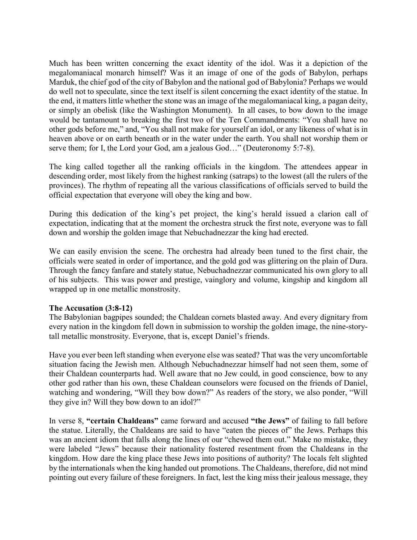Much has been written concerning the exact identity of the idol. Was it a depiction of the megalomaniacal monarch himself? Was it an image of one of the gods of Babylon, perhaps Marduk, the chief god of the city of Babylon and the national god of Babylonia? Perhaps we would do well not to speculate, since the text itself is silent concerning the exact identity of the statue. In the end, it matters little whether the stone was an image of the megalomaniacal king, a pagan deity, or simply an obelisk (like the Washington Monument). In all cases, to bow down to the image would be tantamount to breaking the first two of the Ten Commandments: "You shall have no other gods before me," and, "You shall not make for yourself an idol, or any likeness of what is in heaven above or on earth beneath or in the water under the earth. You shall not worship them or serve them; for I, the Lord your God, am a jealous God…" (Deuteronomy 5:7-8).

The king called together all the ranking officials in the kingdom. The attendees appear in descending order, most likely from the highest ranking (satraps) to the lowest (all the rulers of the provinces). The rhythm of repeating all the various classifications of officials served to build the official expectation that everyone will obey the king and bow.

During this dedication of the king's pet project, the king's herald issued a clarion call of expectation, indicating that at the moment the orchestra struck the first note, everyone was to fall down and worship the golden image that Nebuchadnezzar the king had erected.

We can easily envision the scene. The orchestra had already been tuned to the first chair, the officials were seated in order of importance, and the gold god was glittering on the plain of Dura. Through the fancy fanfare and stately statue, Nebuchadnezzar communicated his own glory to all of his subjects. This was power and prestige, vainglory and volume, kingship and kingdom all wrapped up in one metallic monstrosity.

## **The Accusation (3:8-12)**

The Babylonian bagpipes sounded; the Chaldean cornets blasted away. And every dignitary from every nation in the kingdom fell down in submission to worship the golden image, the nine-storytall metallic monstrosity. Everyone, that is, except Daniel's friends.

Have you ever been left standing when everyone else was seated? That was the very uncomfortable situation facing the Jewish men. Although Nebuchadnezzar himself had not seen them, some of their Chaldean counterparts had. Well aware that no Jew could, in good conscience, bow to any other god rather than his own, these Chaldean counselors were focused on the friends of Daniel, watching and wondering, "Will they bow down?" As readers of the story, we also ponder, "Will they give in? Will they bow down to an idol?"

In verse 8, **"certain Chaldeans"** came forward and accused **"the Jews"** of failing to fall before the statue. Literally, the Chaldeans are said to have "eaten the pieces of" the Jews. Perhaps this was an ancient idiom that falls along the lines of our "chewed them out." Make no mistake, they were labeled "Jews" because their nationality fostered resentment from the Chaldeans in the kingdom. How dare the king place these Jews into positions of authority? The locals felt slighted by the internationals when the king handed out promotions. The Chaldeans, therefore, did not mind pointing out every failure of these foreigners. In fact, lest the king miss their jealous message, they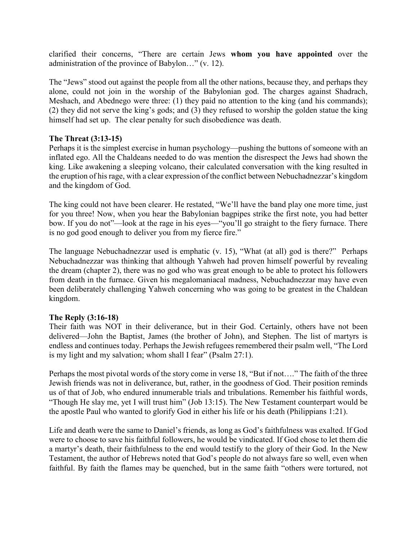clarified their concerns, "There are certain Jews **whom you have appointed** over the administration of the province of Babylon…" (v. 12).

The "Jews" stood out against the people from all the other nations, because they, and perhaps they alone, could not join in the worship of the Babylonian god. The charges against Shadrach, Meshach, and Abednego were three: (1) they paid no attention to the king (and his commands); (2) they did not serve the king's gods; and (3) they refused to worship the golden statue the king himself had set up. The clear penalty for such disobedience was death.

# **The Threat (3:13-15)**

Perhaps it is the simplest exercise in human psychology—pushing the buttons of someone with an inflated ego. All the Chaldeans needed to do was mention the disrespect the Jews had shown the king. Like awakening a sleeping volcano, their calculated conversation with the king resulted in the eruption of his rage, with a clear expression of the conflict between Nebuchadnezzar's kingdom and the kingdom of God.

The king could not have been clearer. He restated, "We'll have the band play one more time, just for you three! Now, when you hear the Babylonian bagpipes strike the first note, you had better bow. If you do not"—look at the rage in his eyes—"you'll go straight to the fiery furnace. There is no god good enough to deliver you from my fierce fire."

The language Nebuchadnezzar used is emphatic (v. 15), "What (at all) god is there?" Perhaps Nebuchadnezzar was thinking that although Yahweh had proven himself powerful by revealing the dream (chapter 2), there was no god who was great enough to be able to protect his followers from death in the furnace. Given his megalomaniacal madness, Nebuchadnezzar may have even been deliberately challenging Yahweh concerning who was going to be greatest in the Chaldean kingdom.

## **The Reply (3:16-18)**

Their faith was NOT in their deliverance, but in their God. Certainly, others have not been delivered—John the Baptist, James (the brother of John), and Stephen. The list of martyrs is endless and continues today. Perhaps the Jewish refugees remembered their psalm well, "The Lord is my light and my salvation; whom shall I fear" (Psalm 27:1).

Perhaps the most pivotal words of the story come in verse 18, "But if not…." The faith of the three Jewish friends was not in deliverance, but, rather, in the goodness of God. Their position reminds us of that of Job, who endured innumerable trials and tribulations. Remember his faithful words, "Though He slay me, yet I will trust him" (Job 13:15). The New Testament counterpart would be the apostle Paul who wanted to glorify God in either his life or his death (Philippians 1:21).

Life and death were the same to Daniel's friends, as long as God's faithfulness was exalted. If God were to choose to save his faithful followers, he would be vindicated. If God chose to let them die a martyr's death, their faithfulness to the end would testify to the glory of their God. In the New Testament, the author of Hebrews noted that God's people do not always fare so well, even when faithful. By faith the flames may be quenched, but in the same faith "others were tortured, not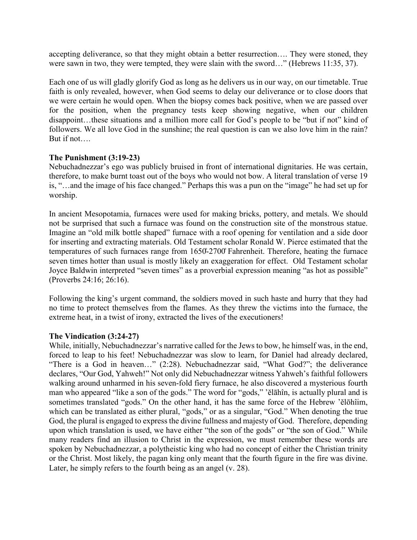accepting deliverance, so that they might obtain a better resurrection…. They were stoned, they were sawn in two, they were tempted, they were slain with the sword…" (Hebrews 11:35, 37).

Each one of us will gladly glorify God as long as he delivers us in our way, on our timetable. True faith is only revealed, however, when God seems to delay our deliverance or to close doors that we were certain he would open. When the biopsy comes back positive, when we are passed over for the position, when the pregnancy tests keep showing negative, when our children disappoint…these situations and a million more call for God's people to be "but if not" kind of followers. We all love God in the sunshine; the real question is can we also love him in the rain? But if not….

## **The Punishment (3:19-23)**

Nebuchadnezzar's ego was publicly bruised in front of international dignitaries. He was certain, therefore, to make burnt toast out of the boys who would not bow. A literal translation of verse 19 is, "…and the image of his face changed." Perhaps this was a pun on the "image" he had set up for worship.

In ancient Mesopotamia, furnaces were used for making bricks, pottery, and metals. We should not be surprised that such a furnace was found on the construction site of the monstrous statue. Imagine an "old milk bottle shaped" furnace with a roof opening for ventilation and a side door for inserting and extracting materials. Old Testament scholar Ronald W. Pierce estimated that the temperatures of such furnaces range from 1650̊-2700̊Fahrenheit. Therefore, heating the furnace seven times hotter than usual is mostly likely an exaggeration for effect. Old Testament scholar Joyce Baldwin interpreted "seven times" as a proverbial expression meaning "as hot as possible" (Proverbs 24:16; 26:16).

Following the king's urgent command, the soldiers moved in such haste and hurry that they had no time to protect themselves from the flames. As they threw the victims into the furnace, the extreme heat, in a twist of irony, extracted the lives of the executioners!

## **The Vindication (3:24-27)**

While, initially, Nebuchadnezzar's narrative called for the Jews to bow, he himself was, in the end, forced to leap to his feet! Nebuchadnezzar was slow to learn, for Daniel had already declared, "There is a God in heaven…" (2:28). Nebuchadnezzar said, "What God?"; the deliverance declares, "Our God, Yahweh!" Not only did Nebuchadnezzar witness Yahweh's faithful followers walking around unharmed in his seven-fold fiery furnace, he also discovered a mysterious fourth man who appeared "like a son of the gods." The word for "gods," 'ĕlāhîn, is actually plural and is sometimes translated "gods." On the other hand, it has the same force of the Hebrew 'ĕlōhîim, which can be translated as either plural, "gods," or as a singular, "God." When denoting the true God, the plural is engaged to express the divine fullness and majesty of God. Therefore, depending upon which translation is used, we have either "the son of the gods" or "the son of God." While many readers find an illusion to Christ in the expression, we must remember these words are spoken by Nebuchadnezzar, a polytheistic king who had no concept of either the Christian trinity or the Christ. Most likely, the pagan king only meant that the fourth figure in the fire was divine. Later, he simply refers to the fourth being as an angel (v. 28).